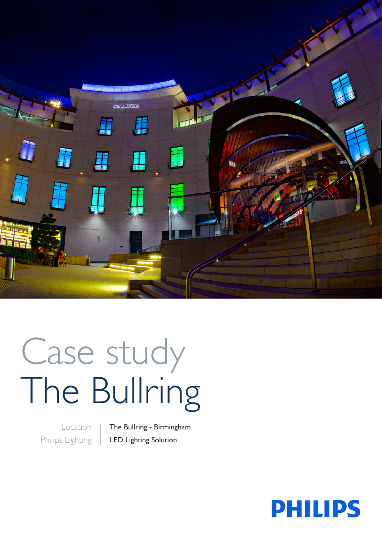

# Case study The Bullring

Location Philips Lighting The Bullring - Birmingham LED Lighting Solution

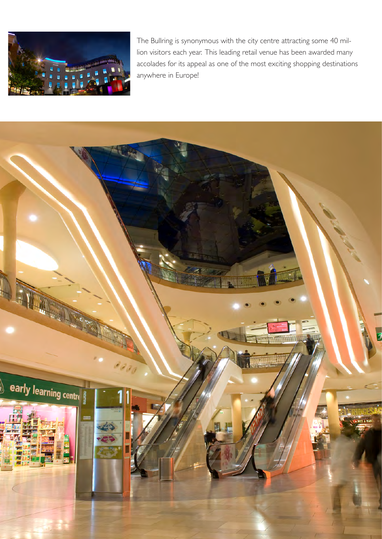

The Bullring is synonymous with the city centre attracting some 40 million visitors each year. This leading retail venue has been awarded many accolades for its appeal as one of the most exciting shopping destinations anywhere in Europe!

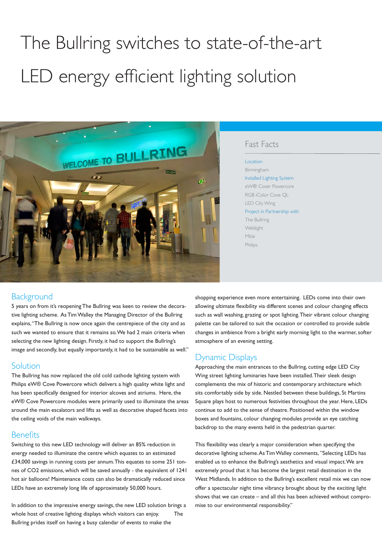# The Bullring switches to state-of-the-art LED energy efficient lighting solution



#### Fast Facts

#### Location

Birmingham Installed Lighting System eW® Cover Powercore RGB iColor Cove QL LED City Wing Project in Partnership with The Bullring **Weblight** Mitie Philips

## **Background**

5 years on from it's reopening The Bullring was keen to review the decorative lighting scheme. As Tim Walley the Managing Director of the Bullring explains, "The Bullring is now once again the centrepiece of the city and as such we wanted to ensure that it remains so. We had 2 main criteria when selecting the new lighting design. Firstly, it had to support the Bullring's image and secondly, but equally importantly, it had to be sustainable as well."

#### Solution

The Bullring has now replaced the old cold cathode lighting system with Philips eW® Cove Powercore which delivers a high quality white light and has been specifically designed for interior alcoves and atriums. Here, the eW® Cove Powercore modules were primarily used to illuminate the areas around the main escalators and lifts as well as decorative shaped facets into the ceiling voids of the main walkways.

#### **Benefits**

Switching to this new LED technology will deliver an 85% reduction in energy needed to illuminate the centre which equates to an estimated £34,000 savings in running costs per annum. This equates to some 251 tonnes of CO2 emissions, which will be saved annually - the equivalent of 1241 hot air balloons! Maintenance costs can also be dramatically reduced since LEDs have an extremely long life of approximately 50,000 hours.

In addition to the impressive energy savings, the new LED solution brings a whole host of creative lighting displays which visitors can enjoy. The Bullring prides itself on having a busy calendar of events to make the

shopping experience even more entertaining. LEDs come into their own allowing ultimate flexibility via different scenes and colour changing effects such as wall washing, grazing or spot lighting. Their vibrant colour changing palette can be tailored to suit the occasion or controlled to provide subtle changes in ambience from a bright early morning light to the warmer, softer atmosphere of an evening setting.

## Dynamic Displays

Approaching the main entrances to the Bullring, cutting edge LED City Wing street lighting luminaries have been installed. Their sleek design complements the mix of historic and contemporary architecture which sits comfortably side by side. Nestled between these buildings, St Martins Square plays host to numerous festivities throughout the year. Here, LEDs continue to add to the sense of theatre. Positioned within the window boxes and fountains, colour changing modules provide an eye catching backdrop to the many events held in the pedestrian quarter.

This flexibility was clearly a major consideration when specifying the decorative lighting scheme. As Tim Walley comments, "Selecting LEDs has enabled us to enhance the Bullring's aesthetics and visual impact. We are extremely proud that it has become the largest retail destination in the West Midlands. In addition to the Bullring's excellent retail mix we can now offer a spectacular night time vibrancy brought about by the exciting light shows that we can create – and all this has been achieved without compromise to our environmental responsibility."